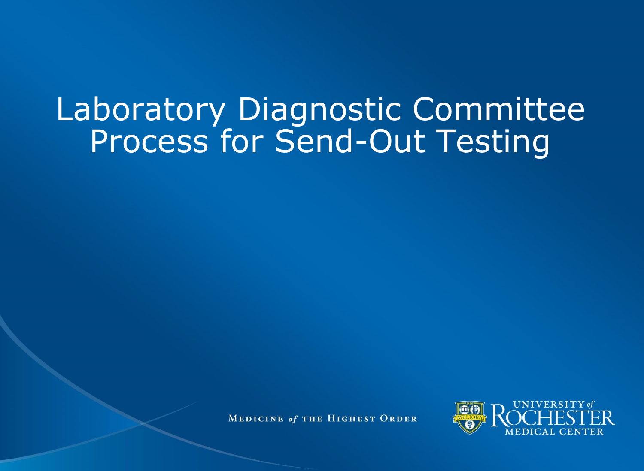# Laboratory Diagnostic Committee Process for Send-Out Testing

MEDICINE of THE HIGHEST ORDER

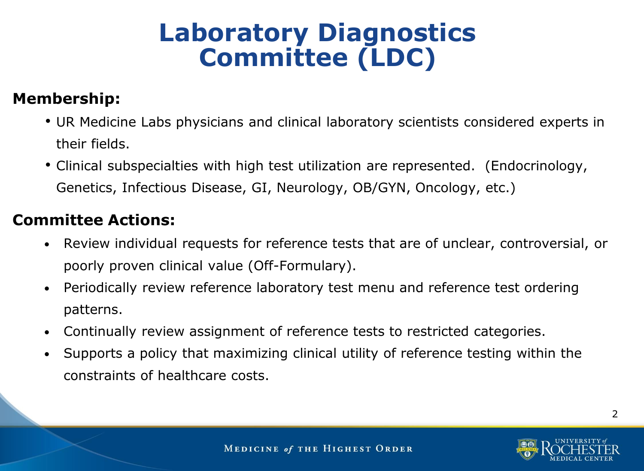# **Laboratory Diagnostics Committee (LDC)**

#### **Membership:**

- UR Medicine Labs physicians and clinical laboratory scientists considered experts in their fields.
- Clinical subspecialties with high test utilization are represented. (Endocrinology, Genetics, Infectious Disease, GI, Neurology, OB/GYN, Oncology, etc.)

#### **Committee Actions:**

- Review individual requests for reference tests that are of unclear, controversial, or poorly proven clinical value (Off-Formulary).
- Periodically review reference laboratory test menu and reference test ordering patterns.
- Continually review assignment of reference tests to restricted categories.
- Supports a policy that maximizing clinical utility of reference testing within the constraints of healthcare costs.

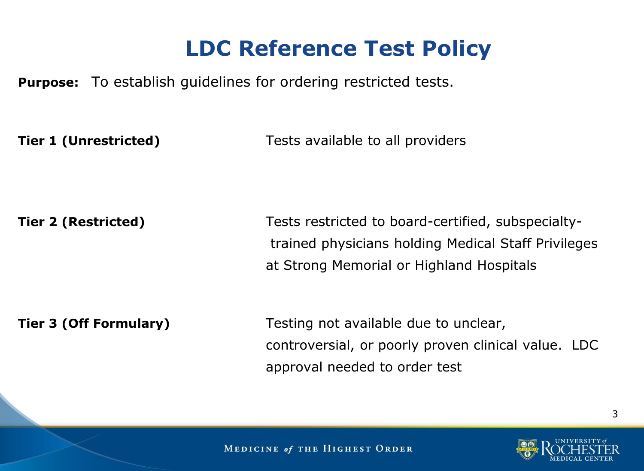### **LDC Reference Test Policy**

**Purpose:** To establish guidelines for ordering restricted tests.

**Tier 1 (Unrestricted)** Tests available to all providers

**Tier 2 (Restricted)** Tests restricted to board-certified, subspecialtytrained physicians holding Medical Staff Privileges at Strong Memorial or Highland Hospitals

**Tier 3 (Off Formulary)** Testing not available due to unclear, controversial, or poorly proven clinical value. LDC approval needed to order test

**MEDICINE of THE HIGHEST ORDER** 

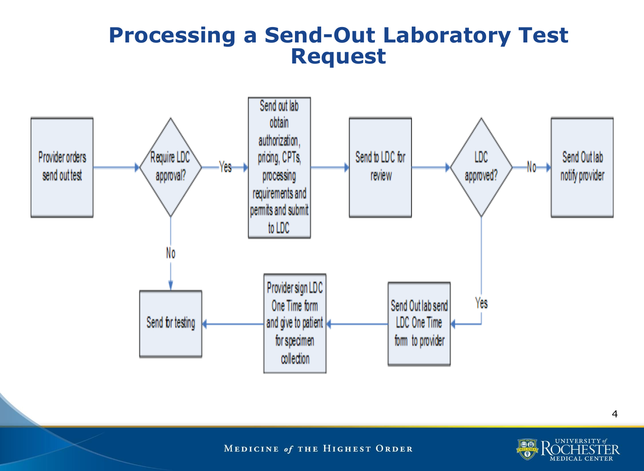#### **Processing a Send-Out Laboratory Test Request**



MEDICINE of THE HIGHEST ORDER

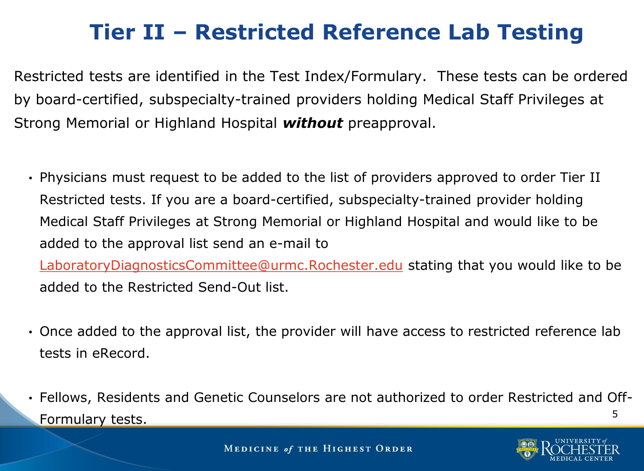## **Tier II – Restricted Reference Lab Testing**

Restricted tests are identified in the Test Index/Formulary. These tests can be ordered by board-certified, subspecialty-trained providers holding Medical Staff Privileges at Strong Memorial or Highland Hospital *without* preapproval.

• Physicians must request to be added to the list of providers approved to order Tier II Restricted tests. If you are a board-certified, subspecialty-trained provider holding Medical Staff Privileges at Strong Memorial or Highland Hospital and would like to be added to the approval list send an e-mail to

[LaboratoryDiagnosticsCommittee@urmc.Rochester.edu](mailto:LaboratoryDiagnosticsCommittee@urmc.Rochester.edu) stating that you would like to be added to the Restricted Send-Out list.

- Once added to the approval list, the provider will have access to restricted reference lab tests in eRecord.
- 5 • Fellows, Residents and Genetic Counselors are not authorized to order Restricted and Off-Formulary tests.

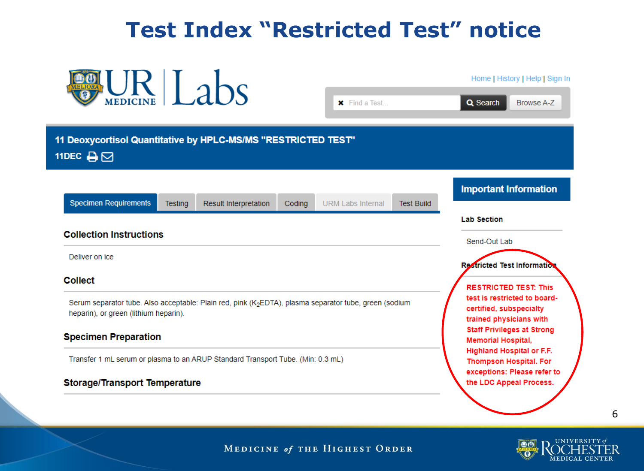### **Test Index "Restricted Test" notice**